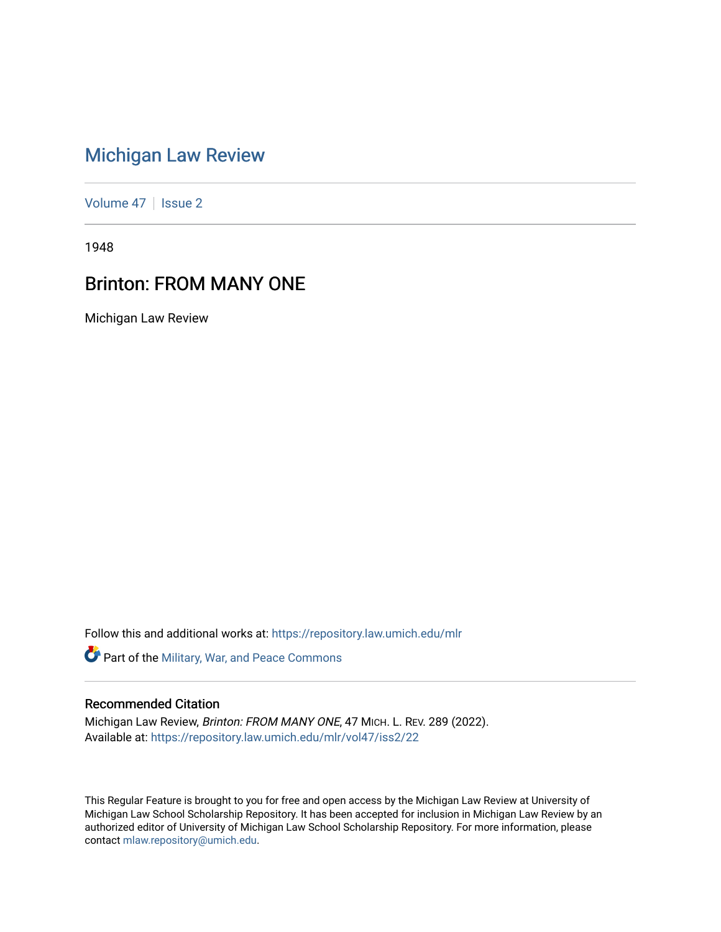# [Michigan Law Review](https://repository.law.umich.edu/mlr)

[Volume 47](https://repository.law.umich.edu/mlr/vol47) | [Issue 2](https://repository.law.umich.edu/mlr/vol47/iss2)

1948

# Brinton: FROM MANY ONE

Michigan Law Review

Follow this and additional works at: [https://repository.law.umich.edu/mlr](https://repository.law.umich.edu/mlr?utm_source=repository.law.umich.edu%2Fmlr%2Fvol47%2Fiss2%2F22&utm_medium=PDF&utm_campaign=PDFCoverPages) 

Part of the [Military, War, and Peace Commons](http://network.bepress.com/hgg/discipline/861?utm_source=repository.law.umich.edu%2Fmlr%2Fvol47%2Fiss2%2F22&utm_medium=PDF&utm_campaign=PDFCoverPages) 

## Recommended Citation

Michigan Law Review, Brinton: FROM MANY ONE, 47 MICH. L. REV. 289 (2022). Available at: [https://repository.law.umich.edu/mlr/vol47/iss2/22](https://repository.law.umich.edu/mlr/vol47/iss2/22?utm_source=repository.law.umich.edu%2Fmlr%2Fvol47%2Fiss2%2F22&utm_medium=PDF&utm_campaign=PDFCoverPages) 

This Regular Feature is brought to you for free and open access by the Michigan Law Review at University of Michigan Law School Scholarship Repository. It has been accepted for inclusion in Michigan Law Review by an authorized editor of University of Michigan Law School Scholarship Repository. For more information, please contact [mlaw.repository@umich.edu](mailto:mlaw.repository@umich.edu).